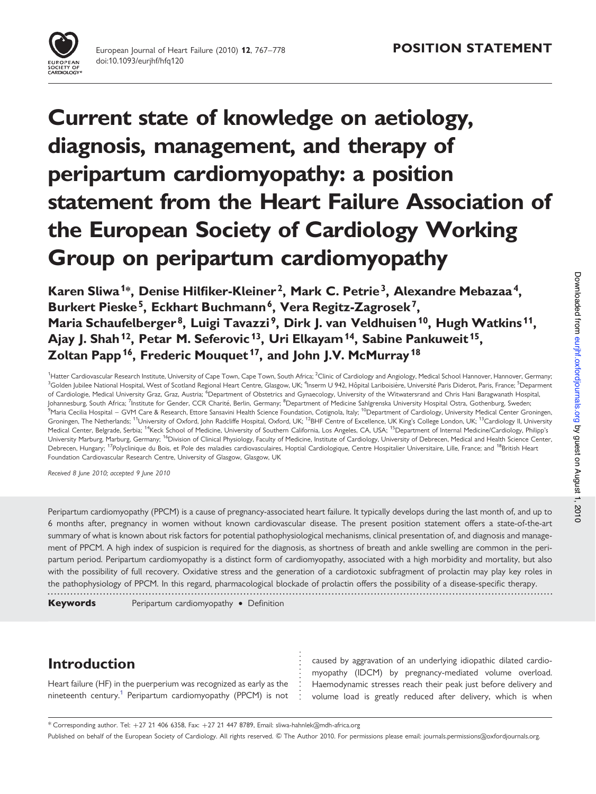

# Current state of knowledge on aetiology, diagnosis, management, and therapy of peripartum cardiomyopathy: a position statement from the Heart Failure Association of the European Society of Cardiology Working Group on peripartum cardiomyopathy

Karen Sliwa<sup>1\*</sup>, Denise Hilfiker-Kleiner<sup>2</sup>, Mark C. Petrie<sup>3</sup>, Alexandre Mebazaa<sup>4</sup>, Burkert Pieske<sup>5</sup>, Eckhart Buchmann<sup>6</sup>, Vera Regitz-Zagrosek<sup>7</sup>, Maria Schaufelberger<sup>8</sup>, Luigi Tavazzi<sup>9</sup>, Dirk J. van Veldhuisen<sup>10</sup>, Hugh Watkins<sup>11</sup>, Ajay J. Shah<sup>12</sup>, Petar M. Seferovic<sup>13</sup>, Uri Elkayam<sup>14</sup>, Sabine Pankuweit<sup>15</sup>, Zoltan Papp<sup>16</sup>, Frederic Mouquet<sup>17</sup>, and John J.V. McMurray<sup>18</sup>

<sup>1</sup>Hatter Cardiovascular Research Institute, University of Cape Town, Cape Town, South Africa; <sup>2</sup>Clinic of Cardiology and Angiology, Medical School Hannover, Hannover, Germany <sup>3</sup>Golden Jubilee National Hospital, West of Scotland Regional Heart Centre, Glasgow, UK; <sup>4</sup>Inserm U 942, Hôpital Lariboisière, Université Paris Diderot, Paris, France; <sup>5</sup>Deparment of Cardiologie, Medical University Graz, Graz, Austria; <sup>6</sup>Department of Obstetrics and Gynaecology, University of the Witwatersrand and Chris Hani Baragwanath Hospital Johannesburg, South Africa; <sup>7</sup>Institute for Gender, CCR Charité, Berlin, Germany; <sup>8</sup>Department of Medicine Sahlgrenska University Hospital Ostra, Gothenburg, Sweden; <sup>9</sup>Maria Cecilia Hospital – GVM Care & Research, Ettore Sansavini Health Science Foundation, Cotignola, Italy; <sup>10</sup>Department of Cardiology, University Medical Center Groningen. Groningen, The Netherlands; <sup>11</sup>University of Oxford, John Radcliffe Hospital, Oxford, UK; <sup>12</sup>BHF Centre of Excellence, UK King's College London, UK; <sup>13</sup>Cardiology II, University Medical Center, Belgrade, Serbia; <sup>14</sup>Keck School of Medicine, University of Southern California, Los Angeles, CA, USA; <sup>15</sup>Department of Internal Medicine/Cardiology, Philipp's University Marburg, Marburg, Germany; <sup>16</sup>Division of Clinical Physiology, Faculty of Medicine, Institute of Cardiology, University of Debrecen, Medical and Health Science Center, Debrecen, Hungary; <sup>17</sup>Polyclinique du Bois, et Pole des maladies cardiovasculaires, Hoptial Cardiologique, Centre Hospitalier Universitaire, Lille, France; and <sup>18</sup>British Heart Foundation Cardiovascular Research Centre, University of Glasgow, Glasgow, UK

Received 8 June 2010; accepted 9 June 2010

Peripartum cardiomyopathy (PPCM) is a cause of pregnancy-associated heart failure. It typically develops during the last month of, and up to 6 months after, pregnancy in women without known cardiovascular disease. The present position statement offers a state-of-the-art summary of what is known about risk factors for potential pathophysiological mechanisms, clinical presentation of, and diagnosis and management of PPCM. A high index of suspicion is required for the diagnosis, as shortness of breath and ankle swelling are common in the peripartum period. Peripartum cardiomyopathy is a distinct form of cardiomyopathy, associated with a high morbidity and mortality, but also with the possibility of full recovery. Oxidative stress and the generation of a cardiotoxic subfragment of prolactin may play key roles in the pathophysiology of PPCM. In this regard, pharmacological blockade of prolactin offers the possibility of a disease-specific therapy. - - - - - - - - - - - - - - - - - - - - - - - - - - - - - - - - - - - - - - - - - - - - - - - - - - - - - - - - - - - - - - - - - - - - - - - - - - - - - - - - - - - - - - - - - - - - - - - - - - - - - - - - - - - - - - - - - - - - - - - - - - - - - - - - - - - - - - - - - - - - - - - - - - - - - - - - - - -

Keywords Peripartum cardiomyopathy . Definition

# Introduction

Heart failure (HF) in the puerperium was recognized as early as the nineteenth century.<sup>[1](#page-9-0)</sup> Peripartum cardiomyopathy (PPCM) is not caused by aggravation of an underlying idiopathic dilated cardiomyopathy (IDCM) by pregnancy-mediated volume overload. Haemodynamic stresses reach their peak just before delivery and volume load is greatly reduced after delivery, which is when

\* Corresponding author. Tel: <sup>+</sup>27 21 406 6358, Fax: <sup>+</sup>27 21 447 8789, Email: sliwa-hahnlek@mdh-africa.org

Published on behalf of the European Society of Cardiology. All rights reserved. © The Author 2010. For permissions please email: journals.permissions@oxfordjournals.org.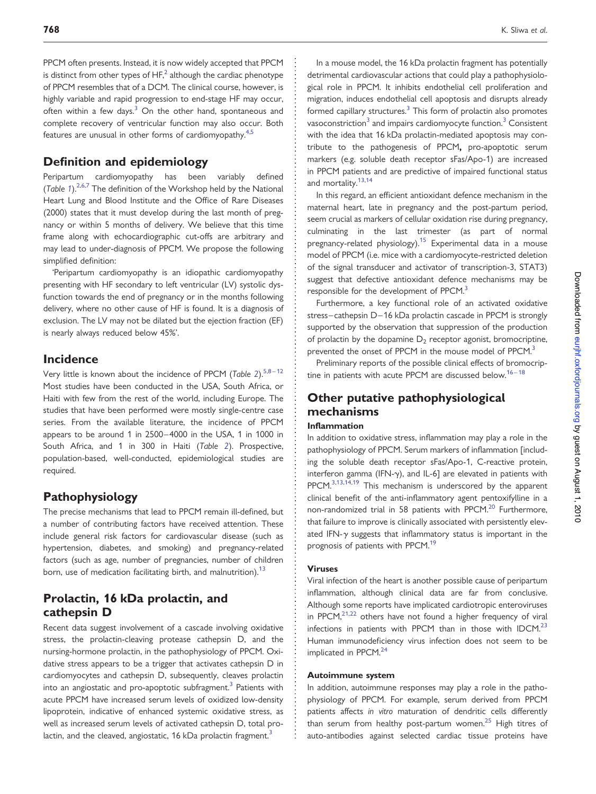PPCM often presents. Instead, it is now widely accepted that PPCM is distinct from other types of  $HF<sub>1</sub><sup>2</sup>$  although the cardiac phenotype of PPCM resembles that of a DCM. The clinical course, however, is highly variable and rapid progression to end-stage HF may occur, often within a few days. $3$  On the other hand, spontaneous and complete recovery of ventricular function may also occur. Both features are unusual in other forms of cardiomyopathy. $4,5$ 

# Definition and epidemiology

Peripartum cardiomyopathy has been variably defined (Table [1](#page-2-0)).<sup>[2](#page-9-0)[,6,7](#page-10-0)</sup> The definition of the Workshop held by the National Heart Lung and Blood Institute and the Office of Rare Diseases (2000) states that it must develop during the last month of pregnancy or within 5 months of delivery. We believe that this time frame along with echocardiographic cut-offs are arbitrary and may lead to under-diagnosis of PPCM. We propose the following simplified definition:

'Peripartum cardiomyopathy is an idiopathic cardiomyopathy presenting with HF secondary to left ventricular (LV) systolic dysfunction towards the end of pregnancy or in the months following delivery, where no other cause of HF is found. It is a diagnosis of exclusion. The LV may not be dilated but the ejection fraction (EF) is nearly always reduced below 45%'.

### **Incidence**

Very little is known about the incidence of PPCM (Table [2](#page-3-0)).<sup>5,8-[12](#page-10-0)</sup> Most studies have been conducted in the USA, South Africa, or Haiti with few from the rest of the world, including Europe. The studies that have been performed were mostly single-centre case series. From the available literature, the incidence of PPCM appears to be around 1 in 2500–4000 in the USA, 1 in 1000 in South Africa, and 1 in 300 in Haiti (Table [2](#page-3-0)). Prospective, population-based, well-conducted, epidemiological studies are required.

# Pathophysiology

The precise mechanisms that lead to PPCM remain ill-defined, but a number of contributing factors have received attention. These include general risk factors for cardiovascular disease (such as hypertension, diabetes, and smoking) and pregnancy-related factors (such as age, number of pregnancies, number of children born, use of medication facilitating birth, and malnutrition).<sup>[13](#page-10-0)</sup>

# Prolactin, 16 kDa prolactin, and cathepsin D

Recent data suggest involvement of a cascade involving oxidative stress, the prolactin-cleaving protease cathepsin D, and the nursing-hormone prolactin, in the pathophysiology of PPCM. Oxidative stress appears to be a trigger that activates cathepsin D in cardiomyocytes and cathepsin D, subsequently, cleaves prolactin into an angiostatic and pro-apoptotic subfragment.<sup>3</sup> Patients with acute PPCM have increased serum levels of oxidized low-density lipoprotein, indicative of enhanced systemic oxidative stress, as well as increased serum levels of activated cathepsin D, total pro-lactin, and the cleaved, angiostatic, 16 kDa prolactin fragment.<sup>[3](#page-9-0)</sup>

In a mouse model, the 16 kDa prolactin fragment has potentially detrimental cardiovascular actions that could play a pathophysiological role in PPCM. It inhibits endothelial cell proliferation and migration, induces endothelial cell apoptosis and disrupts already formed capillary structures. $3$  This form of prolactin also promotes vasoconstriction<sup>[3](#page-9-0)</sup> and impairs cardiomyocyte function.<sup>3</sup> Consistent with the idea that 16 kDa prolactin-mediated apoptosis may contribute to the pathogenesis of PPCM, pro-apoptotic serum markers (e.g. soluble death receptor sFas/Apo-1) are increased in PPCM patients and are predictive of impaired functional status and mortality.<sup>[13](#page-10-0),[14](#page-10-0)</sup>

In this regard, an efficient antioxidant defence mechanism in the maternal heart, late in pregnancy and the post-partum period, seem crucial as markers of cellular oxidation rise during pregnancy, culminating in the last trimester (as part of normal pregnancy-related physiology).[15](#page-10-0) Experimental data in a mouse model of PPCM (i.e. mice with a cardiomyocyte-restricted deletion of the signal transducer and activator of transcription-3, STAT3) suggest that defective antioxidant defence mechanisms may be responsible for the development of PPCM.<sup>3</sup>

Furthermore, a key functional role of an activated oxidative stress –cathepsin D– 16 kDa prolactin cascade in PPCM is strongly supported by the observation that suppression of the production of prolactin by the dopamine  $D_2$  receptor agonist, bromocriptine, prevented the onset of PPCM in the mouse model of PPCM.<sup>[3](#page-9-0)</sup>

Preliminary reports of the possible clinical effects of bromocrip-tine in patients with acute PPCM are discussed below.<sup>[16](#page-10-0)-[18](#page-10-0)</sup>

# Other putative pathophysiological mechanisms Inflammation

In addition to oxidative stress, inflammation may play a role in the pathophysiology of PPCM. Serum markers of inflammation [including the soluble death receptor sFas/Apo-1, C-reactive protein, interferon gamma (IFN- $\gamma$ ), and IL-6] are elevated in patients with PPCM.<sup>[3](#page-9-0)[,13,14,19](#page-10-0)</sup> This mechanism is underscored by the apparent clinical benefit of the anti-inflammatory agent pentoxifylline in a non-randomized trial in 58 patients with PPCM.<sup>20</sup> Furthermore, that failure to improve is clinically associated with persistently elevated IFN- $\gamma$  suggests that inflammatory status is important in the prognosis of patients with PPCM[.19](#page-10-0)

#### Viruses

Viral infection of the heart is another possible cause of peripartum inflammation, although clinical data are far from conclusive. Although some reports have implicated cardiotropic enteroviruses in PPCM, $21,22$  $21,22$  $21,22$  others have not found a higher frequency of viral infections in patients with PPCM than in those with IDCM. $^{23}$  $^{23}$  $^{23}$ Human immunodeficiency virus infection does not seem to be implicated in PPCM.<sup>[24](#page-10-0)</sup>

# Autoimmune system

In addition, autoimmune responses may play a role in the pathophysiology of PPCM. For example, serum derived from PPCM patients affects in vitro maturation of dendritic cells differently than serum from healthy post-partum women. $^{25}$  $^{25}$  $^{25}$  High titres of auto-antibodies against selected cardiac tissue proteins have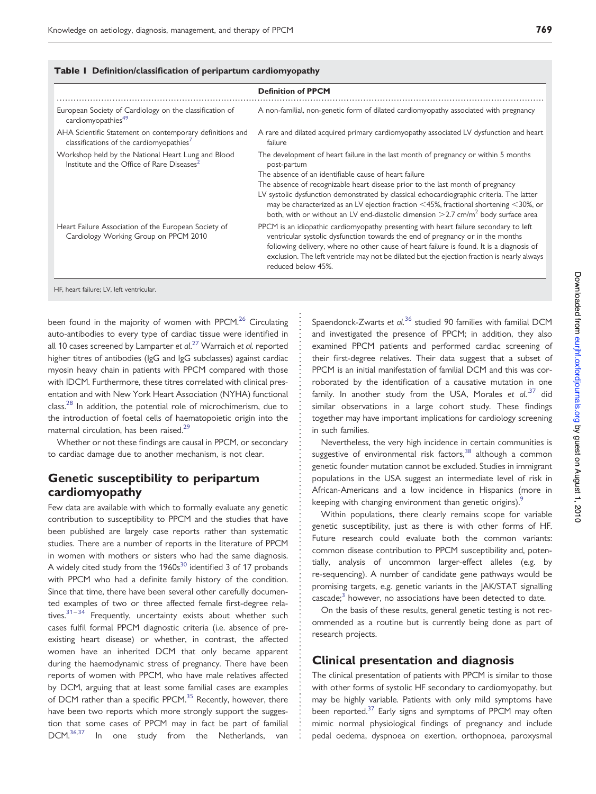$T$  Table 1  $D$ efinition of peripartum cardiomyopathyopathyopathyopathyopathyopathyopathyopathyopathyopathyopathyopathyopathyopathyopathyopathyopathyopathyopathyopathyopathyopathyopathyopathyopathyopathyopathyopathyopathy

|                                                                                                                  | <b>Definition of PPCM</b>                                                                                                                                                                                                                                                                                                                                                                                                                                                                                                                      |
|------------------------------------------------------------------------------------------------------------------|------------------------------------------------------------------------------------------------------------------------------------------------------------------------------------------------------------------------------------------------------------------------------------------------------------------------------------------------------------------------------------------------------------------------------------------------------------------------------------------------------------------------------------------------|
| European Society of Cardiology on the classification of<br>cardiomyopathies <sup>49</sup>                        | A non-familial, non-genetic form of dilated cardiomyopathy associated with pregnancy                                                                                                                                                                                                                                                                                                                                                                                                                                                           |
| AHA Scientific Statement on contemporary definitions and<br>classifications of the cardiomyopathies <sup>7</sup> | A rare and dilated acquired primary cardiomyopathy associated LV dysfunction and heart<br>failure                                                                                                                                                                                                                                                                                                                                                                                                                                              |
| Workshop held by the National Heart Lung and Blood<br>Institute and the Office of Rare Diseases <sup>2</sup>     | The development of heart failure in the last month of pregnancy or within 5 months<br>post-partum<br>The absence of an identifiable cause of heart failure<br>The absence of recognizable heart disease prior to the last month of pregnancy<br>LV systolic dysfunction demonstrated by classical echocardiographic criteria. The latter<br>may be characterized as an LV ejection fraction $\leq$ 45%, fractional shortening $\leq$ 30%, or<br>both, with or without an LV end-diastolic dimension $>2.7$ cm/m <sup>2</sup> body surface area |
| Heart Failure Association of the European Society of<br>Cardiology Working Group on PPCM 2010                    | PPCM is an idiopathic cardiomyopathy presenting with heart failure secondary to left<br>ventricular systolic dysfunction towards the end of pregnancy or in the months<br>following delivery, where no other cause of heart failure is found. It is a diagnosis of<br>exclusion. The left ventricle may not be dilated but the ejection fraction is nearly always<br>reduced below 45%.                                                                                                                                                        |

HF, heart failure; LV, left ventricular.

been found in the majority of women with PPCM.<sup>[26](#page-10-0)</sup> Circulating auto-antibodies to every type of cardiac tissue were identified in all 10 cases screened by Lamparter et  $al.^{27}$  $al.^{27}$  $al.^{27}$  Warraich et  $al.$  reported higher titres of antibodies (IgG and IgG subclasses) against cardiac myosin heavy chain in patients with PPCM compared with those with IDCM. Furthermore, these titres correlated with clinical presentation and with New York Heart Association (NYHA) functional class[.28](#page-10-0) In addition, the potential role of microchimerism, due to the introduction of foetal cells of haematopoietic origin into the maternal circulation, has been raised.<sup>[29](#page-10-0)</sup>

Whether or not these findings are causal in PPCM, or secondary to cardiac damage due to another mechanism, is not clear.

# Genetic susceptibility to peripartum cardiomyopathy

<span id="page-2-0"></span>Few data are available with which to formally evaluate any genetic contribution to susceptibility to PPCM and the studies that have been published are largely case reports rather than systematic studies. There are a number of reports in the literature of PPCM in women with mothers or sisters who had the same diagnosis. A widely cited study from the  $1960s^{30}$  identified 3 of 17 probands with PPCM who had a definite family history of the condition. Since that time, there have been several other carefully documented examples of two or three affected female first-degree relatives. $31-34$  $31-34$  $31-34$  Frequently, uncertainty exists about whether such cases fulfil formal PPCM diagnostic criteria (i.e. absence of preexisting heart disease) or whether, in contrast, the affected women have an inherited DCM that only became apparent during the haemodynamic stress of pregnancy. There have been reports of women with PPCM, who have male relatives affected by DCM, arguing that at least some familial cases are examples of DCM rather than a specific PPCM.<sup>35</sup> Recently, however, there have been two reports which more strongly support the suggestion that some cases of PPCM may in fact be part of familial DCM.<sup>[36,37](#page-10-0)</sup> In one study from the Netherlands, van

Spaendonck-Zwarts et al.<sup>[36](#page-10-0)</sup> studied 90 families with familial DCM and investigated the presence of PPCM; in addition, they also examined PPCM patients and performed cardiac screening of their first-degree relatives. Their data suggest that a subset of PPCM is an initial manifestation of familial DCM and this was corroborated by the identification of a causative mutation in one family. In another study from the USA, Morales et  $al.^{37}$  $al.^{37}$  $al.^{37}$  did similar observations in a large cohort study. These findings together may have important implications for cardiology screening in such families.

Nevertheless, the very high incidence in certain communities is suggestive of environmental risk factors, $38$  although a common genetic founder mutation cannot be excluded. Studies in immigrant populations in the USA suggest an intermediate level of risk in African-Americans and a low incidence in Hispanics (more in keeping with changing environment than genetic origins).<sup>[9](#page-10-0)</sup>

Within populations, there clearly remains scope for variable genetic susceptibility, just as there is with other forms of HF. Future research could evaluate both the common variants: common disease contribution to PPCM susceptibility and, potentially, analysis of uncommon larger-effect alleles (e.g. by re-sequencing). A number of candidate gene pathways would be promising targets, e.g. genetic variants in the JAK/STAT signalling cascade;<sup>[3](#page-9-0)</sup> however, no associations have been detected to date.

On the basis of these results, general genetic testing is not recommended as a routine but is currently being done as part of research projects.

### Clinical presentation and diagnosis

The clinical presentation of patients with PPCM is similar to those with other forms of systolic HF secondary to cardiomyopathy, but may be highly variable. Patients with only mild symptoms have been reported.<sup>[37](#page-10-0)</sup> Early signs and symptoms of PPCM may often mimic normal physiological findings of pregnancy and include pedal oedema, dyspnoea on exertion, orthopnoea, paroxysmal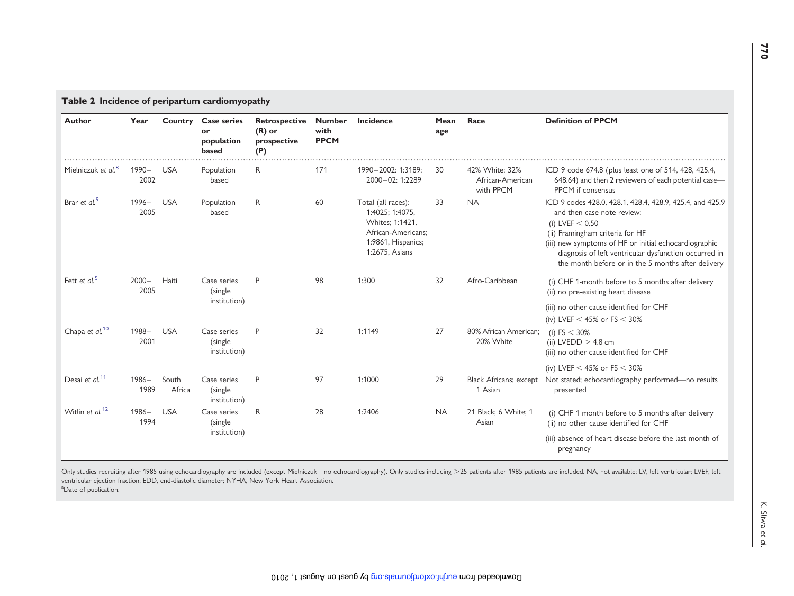| Author                         | Year             |                 | Country Case series<br>or<br>population<br>based | Retrospective<br>$(R)$ or<br>prospective<br>(P) | <b>Number</b><br>with<br><b>PPCM</b> | <b>Incidence</b>                                                                                                       | Mean<br>age | Race                                            | <b>Definition of PPCM</b>                                                                                                                                                                                                                                                                                              |
|--------------------------------|------------------|-----------------|--------------------------------------------------|-------------------------------------------------|--------------------------------------|------------------------------------------------------------------------------------------------------------------------|-------------|-------------------------------------------------|------------------------------------------------------------------------------------------------------------------------------------------------------------------------------------------------------------------------------------------------------------------------------------------------------------------------|
| Mielniczuk et al. <sup>8</sup> | $1990 -$<br>2002 | <b>USA</b>      | Population<br>based                              | R.                                              | 171                                  | 1990-2002: 1:3189;<br>2000-02: 1:2289                                                                                  | 30          | 42% White; 32%<br>African-American<br>with PPCM | ICD 9 code 674.8 (plus least one of 514, 428, 425.4,<br>648.64) and then 2 reviewers of each potential case-<br>PPCM if consensus                                                                                                                                                                                      |
| Brar et al. <sup>9</sup>       | $1996 -$<br>2005 | <b>USA</b>      | Population<br>based                              | R                                               | 60                                   | Total (all races):<br>1:4025; 1:4075,<br>Whites; 1:1421,<br>African-Americans:<br>1:9861, Hispanics;<br>1:2675, Asians | 33          | <b>NA</b>                                       | ICD 9 codes 428.0, 428.1, 428.4, 428.9, 425.4, and 425.9<br>and then case note review:<br>(i) LVEF $< 0.50$<br>(ii) Framingham criteria for HF<br>(iii) new symptoms of HF or initial echocardiographic<br>diagnosis of left ventricular dysfunction occurred in<br>the month before or in the 5 months after delivery |
| Fett et al. <sup>5</sup>       | $2000 -$<br>2005 | Haiti           | Case series<br>(single                           | P                                               | 98                                   | 1:300                                                                                                                  | 32          | Afro-Caribbean                                  | (i) CHF 1-month before to 5 months after delivery<br>(ii) no pre-existing heart disease                                                                                                                                                                                                                                |
|                                |                  |                 | institution)                                     |                                                 |                                      |                                                                                                                        |             |                                                 | (iii) no other cause identified for CHF<br>(iv) LVEF $<$ 45% or FS $<$ 30%                                                                                                                                                                                                                                             |
| Chapa et al. <sup>10</sup>     | $1988 -$<br>2001 | <b>USA</b>      | Case series<br>(single)<br>institution)          | P                                               | 32                                   | 1:1149                                                                                                                 | 27          | 80% African American:<br>20% White              | (i) $FS < 30\%$<br>(ii) LVEDD $>$ 4.8 cm<br>(iii) no other cause identified for CHF                                                                                                                                                                                                                                    |
|                                |                  |                 |                                                  |                                                 |                                      |                                                                                                                        |             |                                                 | (iv) LVEF $<$ 45% or FS $<$ 30%                                                                                                                                                                                                                                                                                        |
| Desai et al. <sup>11</sup>     | $1986 -$<br>1989 | South<br>Africa | Case series<br>(single<br>institution)           | P                                               | 97                                   | 1:1000                                                                                                                 | 29          | <b>Black Africans</b> ; except<br>1 Asian       | Not stated; echocardiography performed-no results<br>presented                                                                                                                                                                                                                                                         |
| Witlin et al. <sup>12</sup>    | $1986 -$<br>1994 | <b>USA</b>      | Case series<br>(single                           | R                                               | 28                                   | 1:2406                                                                                                                 | <b>NA</b>   | 21 Black; 6 White; 1<br>Asian                   | (i) CHF 1 month before to 5 months after delivery<br>(ii) no other cause identified for CHF                                                                                                                                                                                                                            |
|                                |                  |                 | institution)                                     |                                                 |                                      |                                                                                                                        |             |                                                 | (iii) absence of heart disease before the last month of<br>pregnancy                                                                                                                                                                                                                                                   |

Table 2 Incidence of peripartum cardiomyopathy

<span id="page-3-0"></span>Only studies recruiting after 1985 using echocardiography are included (except Mielniczuk-no echocardiography). Only studies including >25 patients after 1985 patients are included. NA, not available; LV, left ventricular; ventricular ejection fraction; EDD, end-diastolic diameter; NYHA, New York Heart Association. <sup>a</sup>Date of publication.

770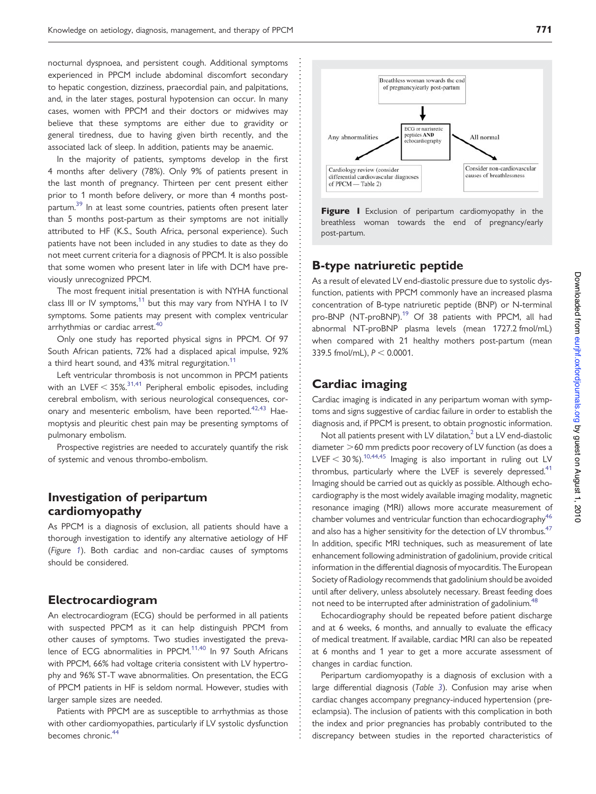nocturnal dyspnoea, and persistent cough. Additional symptoms experienced in PPCM include abdominal discomfort secondary to hepatic congestion, dizziness, praecordial pain, and palpitations, and, in the later stages, postural hypotension can occur. In many cases, women with PPCM and their doctors or midwives may believe that these symptoms are either due to gravidity or general tiredness, due to having given birth recently, and the associated lack of sleep. In addition, patients may be anaemic.

In the majority of patients, symptoms develop in the first 4 months after delivery (78%). Only 9% of patients present in the last month of pregnancy. Thirteen per cent present either prior to 1 month before delivery, or more than 4 months post-partum.<sup>[39](#page-10-0)</sup> In at least some countries, patients often present later than 5 months post-partum as their symptoms are not initially attributed to HF (K.S., South Africa, personal experience). Such patients have not been included in any studies to date as they do not meet current criteria for a diagnosis of PPCM. It is also possible that some women who present later in life with DCM have previously unrecognized PPCM.

The most frequent initial presentation is with NYHA functional class III or IV symptoms, $11$  but this may vary from NYHA I to IV symptoms. Some patients may present with complex ventricular arrhythmias or cardiac arrest.<sup>[40](#page-10-0)</sup>

Only one study has reported physical signs in PPCM. Of 97 South African patients, 72% had a displaced apical impulse, 92% a third heart sound, and 43% mitral regurgitation.<sup>11</sup>

Left ventricular thrombosis is not uncommon in PPCM patients with an LVEF  $<$  35%.<sup>[31,41](#page-10-0)</sup> Peripheral embolic episodes, including cerebral embolism, with serious neurological consequences, coronary and mesenteric embolism, have been reported.<sup>42,43</sup> Haemoptysis and pleuritic chest pain may be presenting symptoms of pulmonary embolism.

Prospective registries are needed to accurately quantify the risk of systemic and venous thrombo-embolism.

# Investigation of peripartum cardiomyopathy

As PPCM is a diagnosis of exclusion, all patients should have a thorough investigation to identify any alternative aetiology of HF (Figure [1](#page-4-0)). Both cardiac and non-cardiac causes of symptoms should be considered.

### Electrocardiogram

An electrocardiogram (ECG) should be performed in all patients with suspected PPCM as it can help distinguish PPCM from other causes of symptoms. Two studies investigated the prevalence of ECG abnormalities in PPCM.<sup>11,40</sup> In 97 South Africans with PPCM, 66% had voltage criteria consistent with LV hypertrophy and 96% ST-T wave abnormalities. On presentation, the ECG of PPCM patients in HF is seldom normal. However, studies with larger sample sizes are needed.

<span id="page-4-0"></span>Patients with PPCM are as susceptible to arrhythmias as those with other cardiomyopathies, particularly if LV systolic dysfunction becomes chronic.<sup>44</sup>



Figure I Exclusion of peripartum cardiomyopathy in the breathless woman towards the end of pregnancy/early post-partum.

# B-type natriuretic peptide

As a result of elevated LV end-diastolic pressure due to systolic dysfunction, patients with PPCM commonly have an increased plasma concentration of B-type natriuretic peptide (BNP) or N-terminal pro-BNP (NT-proBNP).<sup>[19](#page-10-0)</sup> Of 38 patients with PPCM, all had abnormal NT-proBNP plasma levels (mean 1727.2 fmol/mL) when compared with 21 healthy mothers post-partum (mean 339.5 fmol/mL),  $P < 0.0001$ .

# Cardiac imaging

Cardiac imaging is indicated in any peripartum woman with symptoms and signs suggestive of cardiac failure in order to establish the diagnosis and, if PPCM is present, to obtain prognostic information.

Not all patients present with LV dilatation, $<sup>2</sup>$  but a LV end-diastolic</sup>  $diameter >60$  mm predicts poor recovery of LV function (as does a LVEF < 30 %).<sup>10,44,45</sup> Imaging is also important in ruling out LV thrombus, particularly where the LVEF is severely depressed.<sup>41</sup> Imaging should be carried out as quickly as possible. Although echocardiography is the most widely available imaging modality, magnetic resonance imaging (MRI) allows more accurate measurement of chamber volumes and ventricular function than echocardiography<sup>46</sup> and also has a higher sensitivity for the detection of LV thrombus.<sup>47</sup> In addition, specific MRI techniques, such as measurement of late enhancement following administration of gadolinium, provide critical information in the differential diagnosis of myocarditis. The European Society of Radiology recommends that gadolinium should be avoided until after delivery, unless absolutely necessary. Breast feeding does not need to be interrupted after administration of gadolinium.<sup>48</sup>

Echocardiography should be repeated before patient discharge and at 6 weeks, 6 months, and annually to evaluate the efficacy of medical treatment. If available, cardiac MRI can also be repeated at 6 months and 1 year to get a more accurate assessment of changes in cardiac function.

Peripartum cardiomyopathy is a diagnosis of exclusion with a large differential diagnosis (Table [3](#page-5-0)). Confusion may arise when cardiac changes accompany pregnancy-induced hypertension (preeclampsia). The inclusion of patients with this complication in both the index and prior pregnancies has probably contributed to the discrepancy between studies in the reported characteristics of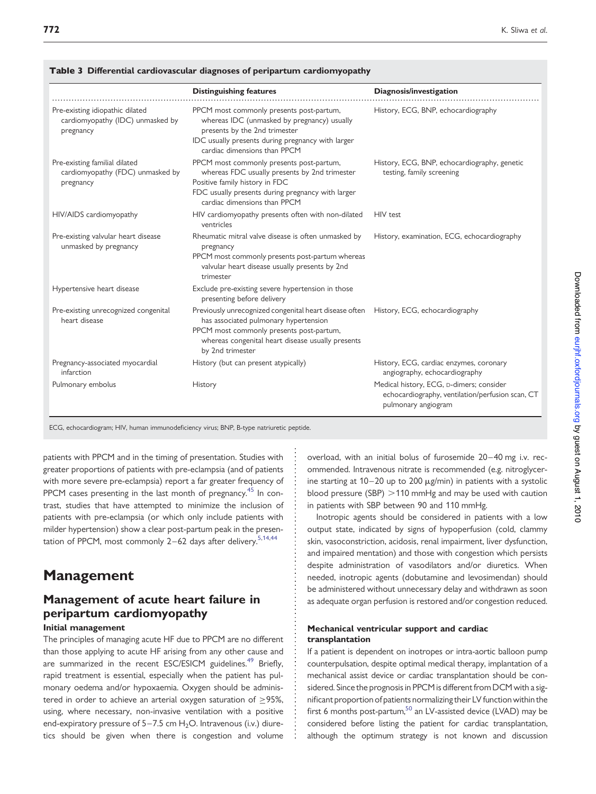|                                                                                  | <b>Distinguishing features</b>                                                                                                                                                                                       | Diagnosis/investigation                                                                                             |
|----------------------------------------------------------------------------------|----------------------------------------------------------------------------------------------------------------------------------------------------------------------------------------------------------------------|---------------------------------------------------------------------------------------------------------------------|
| Pre-existing idiopathic dilated<br>cardiomyopathy (IDC) unmasked by<br>pregnancy | PPCM most commonly presents post-partum,<br>whereas IDC (unmasked by pregnancy) usually<br>presents by the 2nd trimester<br>IDC usually presents during pregnancy with larger<br>cardiac dimensions than PPCM        | History, ECG, BNP, echocardiography                                                                                 |
| Pre-existing familial dilated<br>cardiomyopathy (FDC) unmasked by<br>pregnancy   | PPCM most commonly presents post-partum,<br>whereas FDC usually presents by 2nd trimester<br>Positive family history in FDC<br>FDC usually presents during pregnancy with larger<br>cardiac dimensions than PPCM     | History, ECG, BNP, echocardiography, genetic<br>testing, family screening                                           |
| HIV/AIDS cardiomyopathy                                                          | HIV cardiomyopathy presents often with non-dilated<br>ventricles                                                                                                                                                     | HIV test                                                                                                            |
| Pre-existing valvular heart disease<br>unmasked by pregnancy                     | Rheumatic mitral valve disease is often unmasked by<br>pregnancy<br>PPCM most commonly presents post-partum whereas<br>valvular heart disease usually presents by 2nd<br>trimester                                   | History, examination, ECG, echocardiography                                                                         |
| Hypertensive heart disease                                                       | Exclude pre-existing severe hypertension in those<br>presenting before delivery                                                                                                                                      |                                                                                                                     |
| Pre-existing unrecognized congenital<br>heart disease                            | Previously unrecognized congenital heart disease often<br>has associated pulmonary hypertension<br>PPCM most commonly presents post-partum,<br>whereas congenital heart disease usually presents<br>by 2nd trimester | History, ECG, echocardiography                                                                                      |
| Pregnancy-associated myocardial<br>infarction                                    | History (but can present atypically)                                                                                                                                                                                 | History, ECG, cardiac enzymes, coronary<br>angiography, echocardiography                                            |
| Pulmonary embolus                                                                | History                                                                                                                                                                                                              | Medical history, ECG, D-dimers; consider<br>echocardiography, ventilation/perfusion scan, CT<br>pulmonary angiogram |

#### Table 3 Differential cardiovascular diagnoses of peripartum cardiomyopathy

ECG, echocardiogram; HIV, human immunodeficiency virus; BNP, B-type natriuretic peptide.

patients with PPCM and in the timing of presentation. Studies with greater proportions of patients with pre-eclampsia (and of patients with more severe pre-eclampsia) report a far greater frequency of PPCM cases presenting in the last month of pregnancy.<sup>[45](#page-10-0)</sup> In contrast, studies that have attempted to minimize the inclusion of patients with pre-eclampsia (or which only include patients with milder hypertension) show a clear post-partum peak in the presentation of PPCM, most commonly  $2-62$  days after delivery.<sup>[5,14,44](#page-10-0)</sup>

# Management

# Management of acute heart failure in peripartum cardiomyopathy

# Initial management

<span id="page-5-0"></span>The principles of managing acute HF due to PPCM are no different than those applying to acute HF arising from any other cause and are summarized in the recent ESC/ESICM guidelines.<sup>49</sup> Briefly, rapid treatment is essential, especially when the patient has pulmonary oedema and/or hypoxaemia. Oxygen should be administered in order to achieve an arterial oxygen saturation of  $\geq$ 95%, using, where necessary, non-invasive ventilation with a positive end-expiratory pressure of  $5-7.5$  cm  $H<sub>2</sub>O$ . Intravenous (i.v.) diuretics should be given when there is congestion and volume

overload, with an initial bolus of furosemide 20-40 mg i.v. recommended. Intravenous nitrate is recommended (e.g. nitroglycerine starting at  $10-20$  up to  $200 \mu$ g/min) in patients with a systolic blood pressure (SBP)  $>$  110 mmHg and may be used with caution in patients with SBP between 90 and 110 mmHg.

Inotropic agents should be considered in patients with a low output state, indicated by signs of hypoperfusion (cold, clammy skin, vasoconstriction, acidosis, renal impairment, liver dysfunction, and impaired mentation) and those with congestion which persists despite administration of vasodilators and/or diuretics. When needed, inotropic agents (dobutamine and levosimendan) should be administered without unnecessary delay and withdrawn as soon as adequate organ perfusion is restored and/or congestion reduced.

#### Mechanical ventricular support and cardiac transplantation

If a patient is dependent on inotropes or intra-aortic balloon pump counterpulsation, despite optimal medical therapy, implantation of a mechanical assist device or cardiac transplantation should be considered. Since the prognosis in PPCM is different from DCM with a significant proportion of patients normalizing their LV function within the first 6 months post-partum,<sup>50</sup> an LV-assisted device (LVAD) may be considered before listing the patient for cardiac transplantation, although the optimum strategy is not known and discussion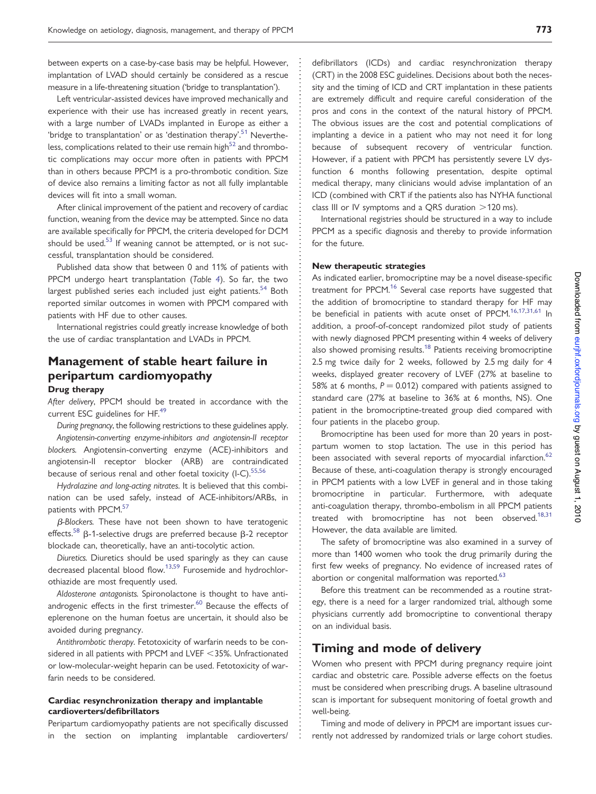between experts on a case-by-case basis may be helpful. However, implantation of LVAD should certainly be considered as a rescue measure in a life-threatening situation ('bridge to transplantation').

Left ventricular-assisted devices have improved mechanically and experience with their use has increased greatly in recent years, with a large number of LVADs implanted in Europe as either a 'bridge to transplantation' or as 'destination therapy'.[51](#page-11-0) Nevertheless, complications related to their use remain high $52$  and thrombotic complications may occur more often in patients with PPCM than in others because PPCM is a pro-thrombotic condition. Size of device also remains a limiting factor as not all fully implantable devices will fit into a small woman.

After clinical improvement of the patient and recovery of cardiac function, weaning from the device may be attempted. Since no data are available specifically for PPCM, the criteria developed for DCM should be used. $53$  If weaning cannot be attempted, or is not successful, transplantation should be considered.

Published data show that between 0 and 11% of patients with PPCM undergo heart transplantation (Table [4](#page-7-0)). So far, the two largest published series each included just eight patients.<sup>54</sup> Both reported similar outcomes in women with PPCM compared with patients with HF due to other causes.

International registries could greatly increase knowledge of both the use of cardiac transplantation and LVADs in PPCM.

# Management of stable heart failure in peripartum cardiomyopathy

### Drug therapy

After delivery, PPCM should be treated in accordance with the current ESC guidelines for HF.<sup>[49](#page-10-0)</sup>

During pregnancy, the following restrictions to these guidelines apply. Angiotensin-converting enzyme-inhibitors and angiotensin-II receptor blockers. Angiotensin-converting enzyme (ACE)-inhibitors and angiotensin-II receptor blocker (ARB) are contraindicated because of serious renal and other foetal toxicity  $(I-C)^{55,56}$  $(I-C)^{55,56}$  $(I-C)^{55,56}$ 

Hydralazine and long-acting nitrates. It is believed that this combination can be used safely, instead of ACE-inhibitors/ARBs, in patients with PPCM.<sup>[57](#page-11-0)</sup>

 $\beta$ -Blockers. These have not been shown to have teratogenic effects.<sup>58</sup>  $\beta$ -1-selective drugs are preferred because  $\beta$ -2 receptor blockade can, theoretically, have an anti-tocolytic action.

Diuretics. Diuretics should be used sparingly as they can cause decreased placental blood flow.<sup>[13,](#page-10-0)[59](#page-11-0)</sup> Furosemide and hydrochlorothiazide are most frequently used.

Aldosterone antagonists. Spironolactone is thought to have antiandrogenic effects in the first trimester. $60$  Because the effects of eplerenone on the human foetus are uncertain, it should also be avoided during pregnancy.

Antithrombotic therapy. Fetotoxicity of warfarin needs to be considered in all patients with PPCM and LVEF  $<$  35%. Unfractionated or low-molecular-weight heparin can be used. Fetotoxicity of warfarin needs to be considered.

### Cardiac resynchronization therapy and implantable cardioverters/defibrillators

Peripartum cardiomyopathy patients are not specifically discussed in the section on implanting implantable cardioverters/ defibrillators (ICDs) and cardiac resynchronization therapy (CRT) in the 2008 ESC guidelines. Decisions about both the necessity and the timing of ICD and CRT implantation in these patients are extremely difficult and require careful consideration of the pros and cons in the context of the natural history of PPCM. The obvious issues are the cost and potential complications of implanting a device in a patient who may not need it for long because of subsequent recovery of ventricular function. However, if a patient with PPCM has persistently severe LV dysfunction 6 months following presentation, despite optimal medical therapy, many clinicians would advise implantation of an ICD (combined with CRT if the patients also has NYHA functional class III or IV symptoms and a QRS duration  $>$  120 ms).

International registries should be structured in a way to include PPCM as a specific diagnosis and thereby to provide information for the future.

#### New therapeutic strategies

As indicated earlier, bromocriptine may be a novel disease-specific treatment for PPCM.<sup>[16](#page-10-0)</sup> Several case reports have suggested that the addition of bromocriptine to standard therapy for HF may be beneficial in patients with acute onset of PPCM.<sup>16,17,31[,61](#page-11-0)</sup> In addition, a proof-of-concept randomized pilot study of patients with newly diagnosed PPCM presenting within 4 weeks of delivery also showed promising results.<sup>18</sup> Patients receiving bromocriptine 2.5 mg twice daily for 2 weeks, followed by 2.5 mg daily for 4 weeks, displayed greater recovery of LVEF (27% at baseline to 58% at 6 months,  $P = 0.012$ ) compared with patients assigned to standard care (27% at baseline to 36% at 6 months, NS). One patient in the bromocriptine-treated group died compared with four patients in the placebo group.

Bromocriptine has been used for more than 20 years in postpartum women to stop lactation. The use in this period has been associated with several reports of myocardial infarction.<sup>62</sup> Because of these, anti-coagulation therapy is strongly encouraged in PPCM patients with a low LVEF in general and in those taking bromocriptine in particular. Furthermore, with adequate anti-coagulation therapy, thrombo-embolism in all PPCM patients treated with bromocriptine has not been observed.<sup>18,31</sup> However, the data available are limited.

The safety of bromocriptine was also examined in a survey of more than 1400 women who took the drug primarily during the first few weeks of pregnancy. No evidence of increased rates of abortion or congenital malformation was reported.<sup>[63](#page-11-0)</sup>

Before this treatment can be recommended as a routine strategy, there is a need for a larger randomized trial, although some physicians currently add bromocriptine to conventional therapy on an individual basis.

# Timing and mode of delivery

Women who present with PPCM during pregnancy require joint cardiac and obstetric care. Possible adverse effects on the foetus must be considered when prescribing drugs. A baseline ultrasound scan is important for subsequent monitoring of foetal growth and well-being.

Timing and mode of delivery in PPCM are important issues currently not addressed by randomized trials or large cohort studies.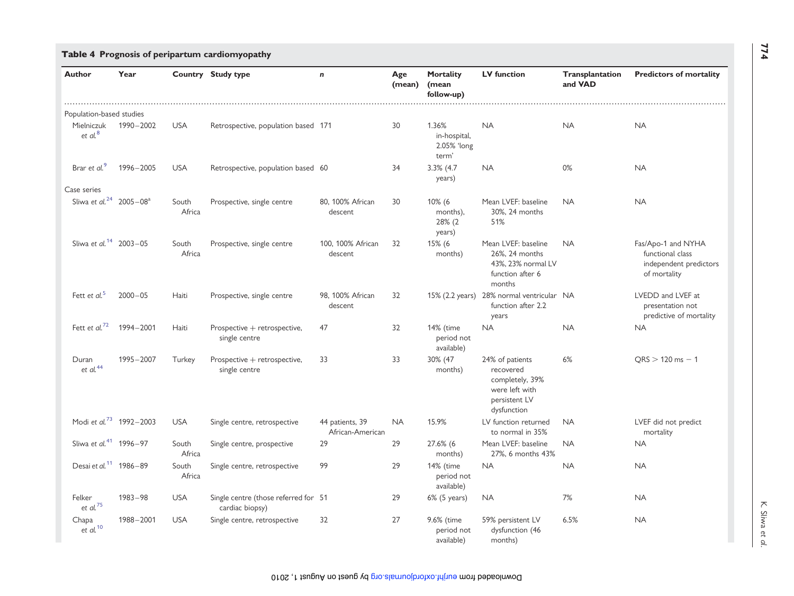Table 4 Prognosis of peripartum cardiomyopathy

<span id="page-7-0"></span>

| <b>Author</b>                                   | Year        |                 | Country Study type                                      | $\mathbf n$                         | Age<br>(mean) | Mortality<br>(mean<br>follow-up)              | <b>LV</b> function                                                                                | Transplantation<br>and VAD | <b>Predictors of mortality</b>                                                   |
|-------------------------------------------------|-------------|-----------------|---------------------------------------------------------|-------------------------------------|---------------|-----------------------------------------------|---------------------------------------------------------------------------------------------------|----------------------------|----------------------------------------------------------------------------------|
| Population-based studies                        |             |                 |                                                         |                                     |               |                                               |                                                                                                   |                            |                                                                                  |
| Mielniczuk<br>et al. $8$                        | 1990-2002   | <b>USA</b>      | Retrospective, population based 171                     |                                     | 30            | 1.36%<br>in-hospital,<br>2.05% 'long<br>term' | <b>NA</b>                                                                                         | <b>NA</b>                  | <b>NA</b>                                                                        |
| Brar et al. <sup>9</sup>                        | 1996-2005   | <b>USA</b>      | Retrospective, population based 60                      |                                     | 34            | 3.3% (4.7<br>years)                           | <b>NA</b>                                                                                         | 0%                         | <b>NA</b>                                                                        |
| Case series                                     |             |                 |                                                         |                                     |               |                                               |                                                                                                   |                            |                                                                                  |
| Sliwa et al. <sup>24</sup> 2005-08 <sup>a</sup> |             | South<br>Africa | Prospective, single centre                              | 80, 100% African<br>descent         | 30            | 10% (6<br>months),<br>28% (2<br>years)        | Mean LVEF: baseline<br>30%, 24 months<br>51%                                                      | <b>NA</b>                  | <b>NA</b>                                                                        |
| Sliwa et al. <sup>14</sup> 2003-05              |             | South<br>Africa | Prospective, single centre                              | 100, 100% African<br>descent        | 32            | 15% (6<br>months)                             | Mean LVEF: baseline<br>26%, 24 months<br>43%, 23% normal LV<br>function after 6<br>months         | <b>NA</b>                  | Fas/Apo-1 and NYHA<br>functional class<br>independent predictors<br>of mortality |
| Fett et al. <sup>5</sup>                        | $2000 - 05$ | Haiti           | Prospective, single centre                              | 98, 100% African<br>descent         | 32            |                                               | 15% (2.2 years) 28% normal ventricular NA<br>function after 2.2<br>years                          |                            | LVEDD and LVEF at<br>presentation not<br>predictive of mortality                 |
| Fett et $al^{72}$                               | 1994-2001   | Haiti           | Prospective $+$ retrospective,<br>single centre         | 47                                  | 32            | 14% (time<br>period not<br>available)         | <b>NA</b>                                                                                         | <b>NA</b>                  | <b>NA</b>                                                                        |
| Duran<br>et al. <sup>44</sup>                   | 1995-2007   | Turkey          | $Prospective + retrospective,$<br>single centre         | 33                                  | 33            | 30% (47<br>months)                            | 24% of patients<br>recovered<br>completely, 39%<br>were left with<br>persistent LV<br>dysfunction | 6%                         | $ORS > 120$ ms $-1$                                                              |
| Modi et al. <sup>73</sup> 1992-2003             |             | <b>USA</b>      | Single centre, retrospective                            | 44 patients, 39<br>African-American | <b>NA</b>     | 15.9%                                         | LV function returned<br>to normal in 35%                                                          | <b>NA</b>                  | LVEF did not predict<br>mortality                                                |
| Sliwa et al. <sup>41</sup> 1996-97              |             | South<br>Africa | Single centre, prospective                              | 29                                  | 29            | 27.6% (6<br>months)                           | Mean LVEF: baseline<br>27%, 6 months 43%                                                          | <b>NA</b>                  | <b>NA</b>                                                                        |
| Desai et al. <sup>11</sup> 1986-89              |             | South<br>Africa | Single centre, retrospective                            | 99                                  | 29            | 14% (time<br>period not<br>available)         | <b>NA</b>                                                                                         | <b>NA</b>                  | <b>NA</b>                                                                        |
| Felker<br>et al. $^{75}$                        | $1983 - 98$ | <b>USA</b>      | Single centre (those referred for 51<br>cardiac biopsy) |                                     | 29            | 6% (5 years)                                  | <b>NA</b>                                                                                         | 7%                         | <b>NA</b>                                                                        |
| Chapa<br>et al. $10$                            | 1988-2001   | <b>USA</b>      | Single centre, retrospective                            | 32                                  | 27            | 9.6% (time<br>period not<br>available)        | 59% persistent LV<br>dysfunction (46<br>months)                                                   | 6.5%                       | <b>NA</b>                                                                        |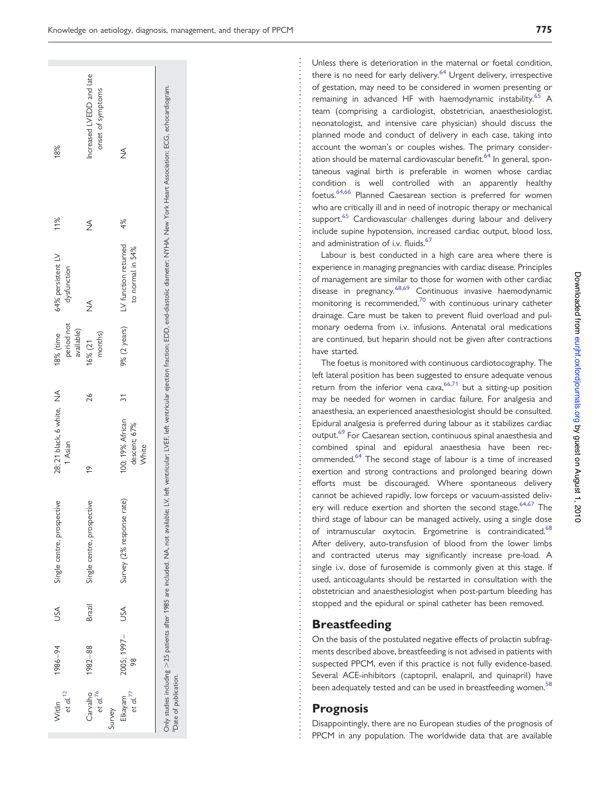Unless there is deterioration in the maternal or foetal condition, there is no need for early delivery.<sup>[64](#page-11-0)</sup> Urgent delivery, irrespective of gestation, may need to be considered in women presenting or remaining in advanced HF with haemodynamic instability.<sup>65</sup> A team (comprising a cardiologist, obstetrician, anaesthesiologist, neonatologist, and intensive care physician) should discuss the planned mode and conduct of delivery in each case, taking into account the woman's or couples wishes. The primary consider-ation should be maternal cardiovascular benefit.<sup>[64](#page-11-0)</sup> In general, spontaneous vaginal birth is preferable in women whose cardiac condition is well controlled with an apparently healthy foetus.<sup>[64,66](#page-11-0)</sup> Planned Caesarean section is preferred for women who are critically ill and in need of inotropic therapy or mechanical support.<sup>[65](#page-11-0)</sup> Cardiovascular challenges during labour and delivery include supine hypotension, increased cardiac output, blood loss, and administration of i.v. fluids.<sup>67</sup>

Labour is best conducted in a high care area where there is experience in managing pregnancies with cardiac disease. Principles of management are similar to those for women with other cardiac disease in pregnancy.[68](#page-11-0),[69](#page-11-0) Continuous invasive haemodynamic monitoring is recommended, $70$  with continuous urinary catheter drainage. Care must be taken to prevent fluid overload and pulmonary oedema from i.v. infusions. Antenatal oral medications are continued, but heparin should not be given after contractions have started.

The foetus is monitored with continuous cardiotocography. The left lateral position has been suggested to ensure adequate venous return from the inferior vena cava,  $66,71$  $66,71$  $66,71$  but a sitting-up position may be needed for women in cardiac failure. For analgesia and anaesthesia, an experienced anaesthesiologist should be consulted. Epidural analgesia is preferred during labour as it stabilizes cardiac output.[69](#page-11-0) For Caesarean section, continuous spinal anaesthesia and combined spinal and epidural anaesthesia have been recommended.[64](#page-11-0) The second stage of labour is a time of increased exertion and strong contractions and prolonged bearing down efforts must be discouraged. Where spontaneous delivery cannot be achieved rapidly, low forceps or vacuum-assisted delivery will reduce exertion and shorten the second stage.<sup>64,67</sup> The third stage of labour can be managed actively, using a single dose of intramuscular oxytocin. Ergometrine is contraindicated.<sup>68</sup> After delivery, auto-transfusion of blood from the lower limbs and contracted uterus may significantly increase pre-load. A single i.v. dose of furosemide is commonly given at this stage. If used, anticoagulants should be restarted in consultation with the obstetrician and anaesthesiologist when post-partum bleeding has stopped and the epidural or spinal catheter has been removed.

# **Breastfeeding**

On the basis of the postulated negative effects of prolactin subfragments described above, breastfeeding is not advised in patients with suspected PPCM, even if this practice is not fully evidence-based. Several ACE-inhibitors (captopril, enalapril, and quinapril) have been adequately tested and can be used in breastfeeding women.<sup>58</sup>

# Prognosis

Disappointingly, there are no European studies of the prognosis of PPCM in any population. The worldwide data that are available

| et $a!^{\, 12}$<br>Witlin         | 1986-94              | USA    | Single centre, prospective                                                                                                                                                                                                     | 28; 21 black, 6 white, NA<br>1 Asian      |    | period not<br>available)<br>18% (time | 64% persistent LV<br>dysfunction                      | 11%           | 18%                                           |
|-----------------------------------|----------------------|--------|--------------------------------------------------------------------------------------------------------------------------------------------------------------------------------------------------------------------------------|-------------------------------------------|----|---------------------------------------|-------------------------------------------------------|---------------|-----------------------------------------------|
| Carvalho<br>et al. $76$<br>Survey | 1982-88              | Brazil | Single centre, prospective                                                                                                                                                                                                     | $\frac{6}{1}$                             | 26 | months)<br>16% (21                    | ₹                                                     | $\frac{1}{2}$ | Increased LVEDD and late<br>onset of symptoms |
| et al. $7$<br>Elkayam             | 2005; 1997- USA<br>8 |        | Survey (2% response rate)                                                                                                                                                                                                      | 100; 19% African<br>descent; 67%<br>White | 31 |                                       | 9% (2 years) LV function returned<br>to normal in 54% | 4%            | $\frac{1}{2}$                                 |
|                                   |                      |        | Only studies including >25 patients after 1985 are included. NA, not available; LV, left ventricular; LVEF, left ventricular ejection fraction; EDD, end-diastolic diameter, NYHA, New York Heart Association; ECG, echocardio |                                           |    |                                       |                                                       |               |                                               |

 $\omega$ 

aDate of publication.

Date of publication.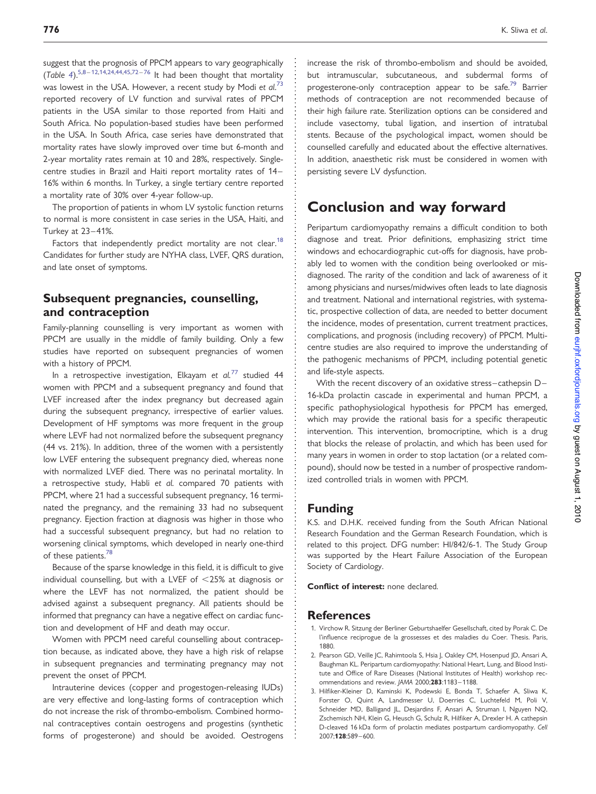suggest that the prognosis of PPCM appears to vary geographically (Table [4](#page-7-0)).<sup>[5](#page-10-0),[8](#page-10-0)-[12,14,24](#page-10-0),[44](#page-10-0),[45](#page-10-0),[72](#page-11-0)-[76](#page-11-0)</sup> It had been thought that mortality was lowest in the USA. However, a recent study by Modi et  $al.^{73}$  $al.^{73}$  $al.^{73}$ reported recovery of LV function and survival rates of PPCM patients in the USA similar to those reported from Haiti and South Africa. No population-based studies have been performed in the USA. In South Africa, case series have demonstrated that mortality rates have slowly improved over time but 6-month and 2-year mortality rates remain at 10 and 28%, respectively. Singlecentre studies in Brazil and Haiti report mortality rates of 14– 16% within 6 months. In Turkey, a single tertiary centre reported a mortality rate of 30% over 4-year follow-up.

The proportion of patients in whom LV systolic function returns to normal is more consistent in case series in the USA, Haiti, and Turkey at 23– 41%.

Factors that independently predict mortality are not clear.<sup>18</sup> Candidates for further study are NYHA class, LVEF, QRS duration, and late onset of symptoms.

# Subsequent pregnancies, counselling, and contraception

Family-planning counselling is very important as women with PPCM are usually in the middle of family building. Only a few studies have reported on subsequent pregnancies of women with a history of PPCM.

In a retrospective investigation, Elkayam et  $al^{77}$  $al^{77}$  $al^{77}$  studied 44 women with PPCM and a subsequent pregnancy and found that LVEF increased after the index pregnancy but decreased again during the subsequent pregnancy, irrespective of earlier values. Development of HF symptoms was more frequent in the group where LEVF had not normalized before the subsequent pregnancy (44 vs. 21%). In addition, three of the women with a persistently low LVEF entering the subsequent pregnancy died, whereas none with normalized LVEF died. There was no perinatal mortality. In a retrospective study, Habli et al. compared 70 patients with PPCM, where 21 had a successful subsequent pregnancy, 16 terminated the pregnancy, and the remaining 33 had no subsequent pregnancy. Ejection fraction at diagnosis was higher in those who had a successful subsequent pregnancy, but had no relation to worsening clinical symptoms, which developed in nearly one-third of these patients.[78](#page-11-0)

Because of the sparse knowledge in this field, it is difficult to give individual counselling, but with a LVEF of  $<$  25% at diagnosis or where the LEVF has not normalized, the patient should be advised against a subsequent pregnancy. All patients should be informed that pregnancy can have a negative effect on cardiac function and development of HF and death may occur.

Women with PPCM need careful counselling about contraception because, as indicated above, they have a high risk of relapse in subsequent pregnancies and terminating pregnancy may not prevent the onset of PPCM.

<span id="page-9-0"></span>Intrauterine devices (copper and progestogen-releasing IUDs) are very effective and long-lasting forms of contraception which do not increase the risk of thrombo-embolism. Combined hormonal contraceptives contain oestrogens and progestins (synthetic forms of progesterone) and should be avoided. Oestrogens increase the risk of thrombo-embolism and should be avoided, but intramuscular, subcutaneous, and subdermal forms of progesterone-only contraception appear to be safe.<sup>[79](#page-11-0)</sup> Barrier methods of contraception are not recommended because of their high failure rate. Sterilization options can be considered and include vasectomy, tubal ligation, and insertion of intratubal stents. Because of the psychological impact, women should be counselled carefully and educated about the effective alternatives. In addition, anaesthetic risk must be considered in women with persisting severe LV dysfunction.

# Conclusion and way forward

Peripartum cardiomyopathy remains a difficult condition to both diagnose and treat. Prior definitions, emphasizing strict time windows and echocardiographic cut-offs for diagnosis, have probably led to women with the condition being overlooked or misdiagnosed. The rarity of the condition and lack of awareness of it among physicians and nurses/midwives often leads to late diagnosis and treatment. National and international registries, with systematic, prospective collection of data, are needed to better document the incidence, modes of presentation, current treatment practices, complications, and prognosis (including recovery) of PPCM. Multicentre studies are also required to improve the understanding of the pathogenic mechanisms of PPCM, including potential genetic and life-style aspects.

With the recent discovery of an oxidative stress-cathepsin D-16-kDa prolactin cascade in experimental and human PPCM, a specific pathophysiological hypothesis for PPCM has emerged, which may provide the rational basis for a specific therapeutic intervention. This intervention, bromocriptine, which is a drug that blocks the release of prolactin, and which has been used for many years in women in order to stop lactation (or a related compound), should now be tested in a number of prospective randomized controlled trials in women with PPCM.

# Funding

K.S. and D.H.K. received funding from the South African National Research Foundation and the German Research Foundation, which is related to this project. DFG number: HI/842/6-1. The Study Group was supported by the Heart Failure Association of the European Society of Cardiology.

Conflict of interest: none declared.

### References

- 1. Virchow R. Sitzung der Berliner Geburtshaelfer Gesellschaft, cited by Porak C. De l'influence reciprogue de la grossesses et des maladies du Coer. Thesis. Paris, 1880.
- 2. Pearson GD, Veille JC, Rahimtoola S, Hsia J, Oakley CM, Hosenpud JD, Ansari A, Baughman KL. Peripartum cardiomyopathy: National Heart, Lung, and Blood Institute and Office of Rare Diseases (National Institutes of Health) workshop recommendations and review. JAMA 2000;283:1183-1188.
- 3. Hilfiker-Kleiner D, Kaminski K, Podewski E, Bonda T, Schaefer A, Sliwa K, Forster O, Quint A, Landmesser U, Doerries C, Luchtefeld M, Poli V, Schneider MD, Balligand JL, Desjardins F, Ansari A, Struman I, Nguyen NQ, Zschemisch NH, Klein G, Heusch G, Schulz R, Hilfiker A, Drexler H. A cathepsin D-cleaved 16 kDa form of prolactin mediates postpartum cardiomyopathy. Cell 2007;128:589 –600.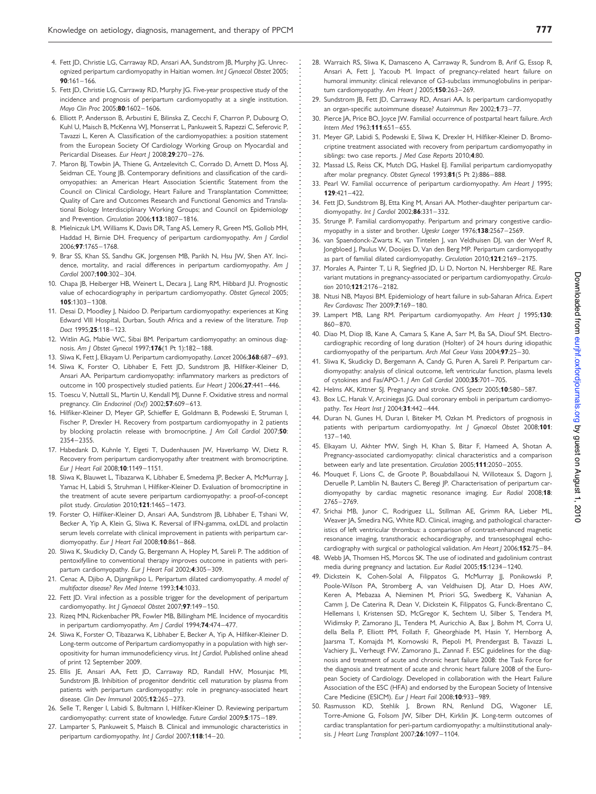- 4. Fett JD, Christie LG, Carraway RD, Ansari AA, Sundstrom JB, Murphy JG. Unrecognized peripartum cardiomyopathy in Haitian women. Int | Gynaecol Obstet 2005;  $90:161 - 166.$
- 5. Fett JD, Christie LG, Carraway RD, Murphy JG. Five-year prospective study of the incidence and prognosis of peripartum cardiomyopathy at a single institution. Mayo Clin Proc 2005;80:1602-1606.
- 6. Elliott P, Andersson B, Arbustini E, Bilinska Z, Cecchi F, Charron P, Dubourg O, Kuhl U, Maisch B, McKenna WJ, Monserrat L, Pankuweit S, Rapezzi C, Seferovic P, Tavazzi L, Keren A. Classification of the cardiomyopathies: a position statement from the European Society Of Cardiology Working Group on Myocardial and Pericardial Diseases. Eur Heart | 2008;29:270-276.
- 7. Maron BJ, Towbin JA, Thiene G, Antzelevitch C, Corrado D, Arnett D, Moss AJ, Seidman CE, Young JB. Contemporary definitions and classification of the cardiomyopathies: an American Heart Association Scientific Statement from the Council on Clinical Cardiology, Heart Failure and Transplantation Committee; Quality of Care and Outcomes Research and Functional Genomics and Translational Biology Interdisciplinary Working Groups; and Council on Epidemiology and Prevention. Circulation 2006;113:1807-1816.
- 8. Mielniczuk LM, Williams K, Davis DR, Tang AS, Lemery R, Green MS, Gollob MH, Haddad H, Birnie DH. Frequency of peripartum cardiomyopathy. Am J Cardiol 2006;97:1765 –1768.
- 9. Brar SS, Khan SS, Sandhu GK, Jorgensen MB, Parikh N, Hsu JW, Shen AY. Incidence, mortality, and racial differences in peripartum cardiomyopathy. Am J Cardiol 2007;100:302-304.
- 10. Chapa JB, Heiberger HB, Weinert L, Decara J, Lang RM, Hibbard JU. Prognostic value of echocardiography in peripartum cardiomyopathy. Obstet Gynecol 2005; 105:1303 –1308.
- 11. Desai D, Moodley J, Naidoo D. Peripartum cardiomyopathy: experiences at King Edward VIII Hospital, Durban, South Africa and a review of the literature. Trop Doct 1995:25:118-123.
- 12. Witlin AG, Mabie WC, Sibai BM. Peripartum cardiomyopathy: an ominous diagnosis. Am J Obstet Gynecol 1997;176(1 Pt 1):182–188.
- 13. Sliwa K, Fett J, Elkayam U. Peripartum cardiomyopathy. Lancet 2006;368:687-693.
- 14. Sliwa K, Forster O, Libhaber E, Fett JD, Sundstrom JB, Hilfiker-Kleiner D, Ansari AA. Peripartum cardiomyopathy: inflammatory markers as predictors of outcome in 100 prospectively studied patients. Eur Heart J 2006;27:441-446.
- 15. Toescu V, Nuttall SL, Martin U, Kendall MJ, Dunne F. Oxidative stress and normal pregnancy. Clin Endocrinol (Oxf) 2002;57:609-613.
- 16. Hilfiker-Kleiner D, Meyer GP, Schieffer E, Goldmann B, Podewski E, Struman I, Fischer P, Drexler H. Recovery from postpartum cardiomyopathy in 2 patients by blocking prolactin release with bromocriptine. J Am Coll Cardiol 2007;50: 2354– 2355.
- 17. Habedank D, Kuhnle Y, Elgeti T, Dudenhausen JW, Haverkamp W, Dietz R. Recovery from peripartum cardiomyopathy after treatment with bromocriptine. Eur J Heart Fail 2008;10:1149-1151.
- 18. Sliwa K, Blauwet L, Tibazarwa K, Libhaber E, Smedema JP, Becker A, McMurray J, Yamac H, Labidi S, Struhman I, Hilfiker-Kleiner D. Evaluation of bromocriptine in the treatment of acute severe peripartum cardiomyopathy: a proof-of-concept pilot study. Circulation 2010;121:1465 –1473.
- 19. Forster O, Hilfiker-Kleiner D, Ansari AA, Sundstrom JB, Libhaber E, Tshani W, Becker A, Yip A, Klein G, Sliwa K. Reversal of IFN-gamma, oxLDL and prolactin serum levels correlate with clinical improvement in patients with peripartum cardiomyopathy. Eur J Heart Fail 2008;10:861-868.
- 20. Sliwa K, Skudicky D, Candy G, Bergemann A, Hopley M, Sareli P. The addition of pentoxifylline to conventional therapy improves outcome in patients with peripartum cardiomyopathy. Eur J Heart Fail 2002;4:305-309.
- 21. Cenac A, Djibo A, Djangnikpo L. Peripartum dilated cardiomyopathy. A model of multifactor disease? Rev Med Interne 1993;14:1033.
- <span id="page-10-1"></span>22. Fett JD. Viral infection as a possible trigger for the development of peripartum cardiomyopathy. Int J Gynaecol Obstet 2007;97:149-150.
- 23. Rizeq MN, Rickenbacher PR, Fowler MB, Billingham ME. Incidence of myocarditis in peripartum cardiomyopathy. Am J Cardiol 1994;74:474–477.
- 24. Sliwa K, Forster O, Tibazarwa K, Libhaber E, Becker A, Yip A, Hilfiker-Kleiner D. Long-term outcome of Peripartum cardiomyopathy in a population with high seropositivity for human immunodeficiency virus. Int J Cardiol. Published online ahead of print 12 September 2009.
- 25. Ellis JE, Ansari AA, Fett JD, Carraway RD, Randall HW, Mosunjac MI, Sundstrom JB. Inhibition of progenitor dendritic cell maturation by plasma from patients with peripartum cardiomyopathy: role in pregnancy-associated heart disease. Clin Dev Immunol 2005;12:265 –273.
- 26. Selle T, Renger I, Labidi S, Bultmann I, Hilfiker-Kleiner D. Reviewing peripartum cardiomyopathy: current state of knowledge. Future Cardiol 2009;5:175–189.
- <span id="page-10-0"></span>27. Lamparter S, Pankuweit S, Maisch B. Clinical and immunologic characteristics in peripartum cardiomyopathy. Int J Cardiol 2007;118:14-20.
- 28. Warraich RS, Sliwa K, Damasceno A, Carraway R, Sundrom B, Arif G, Essop R, Ansari A, Fett J, Yacoub M. Impact of pregnancy-related heart failure on humoral immunity: clinical relevance of G3-subclass immunoglobulins in peripartum cardiomyopathy. Am Heart |  $2005;150:263-269$ .
- 29. Sundstrom JB, Fett JD, Carraway RD, Ansari AA. Is peripartum cardiomyopathy an organ-specific autoimmune disease? Autoimmun Rev 2002;1:73–77.
- 30. Pierce JA, Price BO, Joyce JW. Familial occurrence of postpartal heart failure. Arch Intern Med 1963;111:651–655.
- 31. Meyer GP, Labidi S, Podewski E, Sliwa K, Drexler H, Hilfiker-Kleiner D. Bromocriptine treatment associated with recovery from peripartum cardiomyopathy in siblings: two case reports. J Med Case Reports 2010;4:80.
- 32. Massad LS, Reiss CK, Mutch DG, Haskel EJ. Familial peripartum cardiomyopathy after molar pregnancy. Obstet Gynecol 1993;81(5 Pt 2):886 –888.
- 33. Pearl W. Familial occurrence of peripartum cardiomyopathy. Am Heart J 1995; 129:421–422.
- 34. Fett JD, Sundstrom BJ, Etta King M, Ansari AA. Mother-daughter peripartum cardiomyopathy. Int *| Cardiol* 2002:86:331-332.
- 35. Strunge P. Familial cardiomyopathy. Peripartum and primary congestive cardiomyopathy in a sister and brother. Ugeskr Laeger 1976;138:2567-2569.
- 36. van Spaendonck-Zwarts K, van Tintelen J, van Veldhuisen DJ, van der Werf R, Jongbloed J, Paulus W, Dooijes D, Van den Berg MP. Peripartum cardiomyopathy as part of familial dilated cardiomyopathy. Circulation 2010;121:2169-2175
- 37. Morales A, Painter T, Li R, Siegfried JD, Li D, Norton N, Hershberger RE. Rare variant mutations in pregnancy-associated or peripartum cardiomyopathy. Circulation 2010:121:2176-2182.
- 38. Ntusi NB, Mayosi BM. Epidemiology of heart failure in sub-Saharan Africa. Expert Rev Cardiovasc Ther 2009;7:169-180.
- 39. Lampert MB, Lang RM. Peripartum cardiomyopathy. Am Heart / 1995;130: 860 – 870.
- 40. Diao M, Diop IB, Kane A, Camara S, Kane A, Sarr M, Ba SA, Diouf SM. Electrocardiographic recording of long duration (Holter) of 24 hours during idiopathic cardiomyopathy of the peripartum. Arch Mal Coeur Vaiss 2004;97:25–30.
- 41. Sliwa K, Skudicky D, Bergemann A, Candy G, Puren A, Sareli P. Peripartum cardiomyopathy: analysis of clinical outcome, left ventricular function, plasma levels of cytokines and Fas/APO-1. J Am Coll Cardiol 2000;35:701-705.
- 42. Helms AK, Kittner SJ. Pregnancy and stroke. CNS Spectr 2005;10:580-587.
- 43. Box LC, Hanak V, Arciniegas JG. Dual coronary emboli in peripartum cardiomyopathy. Tex Heart Inst J 2004;31:442-444.
- 44. Duran N, Gunes H, Duran I, Biteker M, Ozkan M. Predictors of prognosis in patients with peripartum cardiomyopathy. Int | Gynaecol Obstet 2008;101:  $137 - 140$ .
- 45. Elkayam U, Akhter MW, Singh H, Khan S, Bitar F, Hameed A, Shotan A. Pregnancy-associated cardiomyopathy: clinical characteristics and a comparison between early and late presentation. Circulation 2005;111:2050-2055.
- 46. Mouquet F, Lions C, de Groote P, Bouabdallaoui N, Willoteaux S, Dagorn J, Deruelle P, Lamblin N, Bauters C, Beregi JP. Characterisation of peripartum cardiomyopathy by cardiac magnetic resonance imaging. Eur Radiol 2008;18: 2765 –2769.
- 47. Srichai MB, Junor C, Rodriguez LL, Stillman AE, Grimm RA, Lieber ML, Weaver JA, Smedira NG, White RD. Clinical, imaging, and pathological characteristics of left ventricular thrombus: a comparison of contrast-enhanced magnetic resonance imaging, transthoracic echocardiography, and transesophageal echocardiography with surgical or pathological validation. Am Heart J 2006;152:75-84.
- 48. Webb JA, Thomsen HS, Morcos SK. The use of iodinated and gadolinium contrast media during pregnancy and lactation. Eur Radiol 2005;15:1234 –1240.
- 49. Dickstein K, Cohen-Solal A, Filippatos G, McMurray JJ, Ponikowski P, Poole-Wilson PA, Stromberg A, van Veldhuisen DJ, Atar D, Hoes AW, Keren A, Mebazaa A, Nieminen M, Priori SG, Swedberg K, Vahanian A, Camm J, De Caterina R, Dean V, Dickstein K, Filippatos G, Funck-Brentano C, Hellemans I, Kristensen SD, McGregor K, Sechtem U, Silber S, Tendera M, Widimsky P, Zamorano JL, Tendera M, Auricchio A, Bax J, Bohm M, Corra U, della Bella P, Elliott PM, Follath F, Gheorghiade M, Hasin Y, Hernborg A, Jaarsma T, Komajda M, Kornowski R, Piepoli M, Prendergast B, Tavazzi L, Vachiery JL, Verheugt FW, Zamorano JL, Zannad F. ESC guidelines for the diagnosis and treatment of acute and chronic heart failure 2008: the Task Force for the diagnosis and treatment of acute and chronic heart failure 2008 of the European Society of Cardiology. Developed in collaboration with the Heart Failure Association of the ESC (HFA) and endorsed by the European Society of Intensive Care Medicine (ESICM). Eur J Heart Fail 2008;10:933 –989.
- 50. Rasmusson KD, Stehlik J, Brown RN, Renlund DG, Wagoner LE, Torre-Amione G, Folsom JW, Silber DH, Kirklin JK. Long-term outcomes of cardiac transplantation for peri-partum cardiomyopathy: a multiinstitutional analysis. *J Heart Lung Transplant* 2007;26:1097-1104.